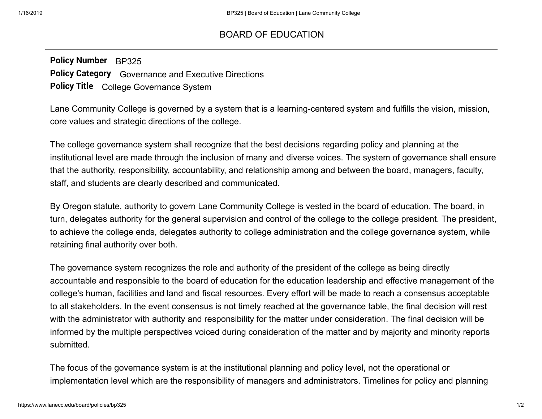## [BOARD OF EDUCATION](https://www.lanecc.edu/board)

**Policy Number** BP325 **Policy Category** Governance and Executive Directions **Policy Title** College Governance System

Lane Community College is governed by a system that is a learning-centered system and fulfills the vision, mission, core values and strategic directions of the college.

The college governance system shall recognize that the best decisions regarding policy and planning at the institutional level are made through the inclusion of many and diverse voices. The system of governance shall ensure that the authority, responsibility, accountability, and relationship among and between the board, managers, faculty, staff, and students are clearly described and communicated.

By Oregon statute, authority to govern Lane Community College is vested in the board of education. The board, in turn, delegates authority for the general supervision and control of the college to the college president. The president, to achieve the college ends, delegates authority to college administration and the college governance system, while retaining final authority over both.

The governance system recognizes the role and authority of the president of the college as being directly accountable and responsible to the board of education for the education leadership and effective management of the college's human, facilities and land and fiscal resources. Every effort will be made to reach a consensus acceptable to all stakeholders. In the event consensus is not timely reached at the governance table, the final decision will rest with the administrator with authority and responsibility for the matter under consideration. The final decision will be informed by the multiple perspectives voiced during consideration of the matter and by majority and minority reports submitted.

The focus of the governance system is at the institutional planning and policy level, not the operational or implementation level which are the responsibility of managers and administrators. Timelines for policy and planning